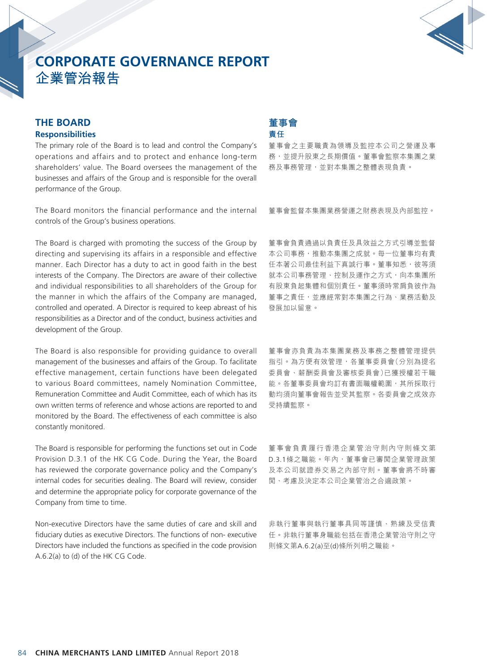

## **THE BOARD Responsibilities**

The primary role of the Board is to lead and control the Company's operations and affairs and to protect and enhance long-term shareholders' value. The Board oversees the management of the businesses and affairs of the Group and is responsible for the overall performance of the Group.

The Board monitors the financial performance and the internal controls of the Group's business operations.

The Board is charged with promoting the success of the Group by directing and supervising its affairs in a responsible and effective manner. Each Director has a duty to act in good faith in the best interests of the Company. The Directors are aware of their collective and individual responsibilities to all shareholders of the Group for the manner in which the affairs of the Company are managed, controlled and operated. A Director is required to keep abreast of his responsibilities as a Director and of the conduct, business activities and development of the Group.

The Board is also responsible for providing guidance to overall management of the businesses and affairs of the Group. To facilitate effective management, certain functions have been delegated to various Board committees, namely Nomination Committee, Remuneration Committee and Audit Committee, each of which has its own written terms of reference and whose actions are reported to and monitored by the Board. The effectiveness of each committee is also constantly monitored.

The Board is responsible for performing the functions set out in Code Provision D.3.1 of the HK CG Code. During the Year, the Board has reviewed the corporate governance policy and the Company's internal codes for securities dealing. The Board will review, consider and determine the appropriate policy for corporate governance of the Company from time to time.

Non-executive Directors have the same duties of care and skill and fiduciary duties as executive Directors. The functions of non- executive Directors have included the functions as specified in the code provision A.6.2(a) to (d) of the HK CG Code.

## **董事會 責任**

董事會之主要職責為領導及監控本公司之營運及事 務,並提升股東之長期價值。董事會監察本集團之業 務及事務管理,並對本集團之整體表現負責。

董事會監督本集團業務營運之財務表現及內部監控。

董事會負責通過以負責任及具效益之方式引導並監督 本公司事務,推動本集團之成就。每一位董事均有責 任本著公司最佳利益下真誠行事。董事知悉,彼等須 就本公司事務管理、控制及運作之方式,向本集團所 有股東負起集體和個別責任。董事須時常肩負彼作為 董事之責任,並應經常對本集團之行為、業務活動及 發展加以留意。

董事會亦負責為本集團業務及事務之整體管理提供 指引。為方便有效管理,各董事委員會(分別為提名 委員會、薪酬委員會及審核委員會)已獲授權若干職 能。各董事委員會均訂有書面職權範圍,其所採取行 動均須向董事會報告並受其監察。各委員會之成效亦 受持續監察。

董事會負責履行香港企業管治守則內守則條文第 D.3.1條之職能。年內,董事會已審閲企業管理政策 及本公司就證券交易之內部守則。董事會將不時審 閱、考慮及決定本公司企業管治之合適政策。

非執行董事與執行董事具同等謹慎、熟練及受信責 任。非執行董事身職能包括在香港企業管治守則之守 則條文第A.6.2(a)至(d)條所列明之職能。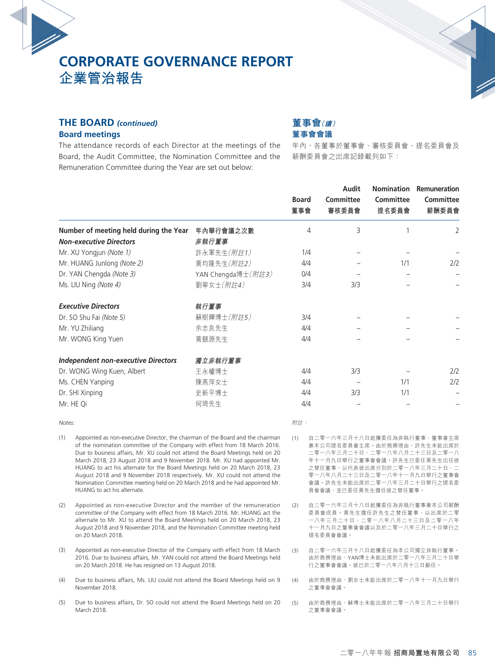

#### **THE BOARD** *(continued)*

#### **Board meetings**

**董事會(續) 董事會會議**

The attendance records of each Director at the meetings of the Board, the Audit Committee, the Nomination Committee and the Remuneration Committee during the Year are set out below:

## 年內,各董事於董事會、審核委員會、提名委員會及 薪酬委員會之出席記錄載列如下:

|                                                                                                                                                                     |                    | <b>Board</b><br>董事會 | Audit<br>Committee<br>審核委員會                                        | Committee<br>提名委員會 | Nomination Remuneration<br><b>Committee</b><br>薪酬委員會 |
|---------------------------------------------------------------------------------------------------------------------------------------------------------------------|--------------------|---------------------|--------------------------------------------------------------------|--------------------|------------------------------------------------------|
| Number of meeting held during the Year                                                                                                                              | 年內舉行會議之次數          | 4                   | 3                                                                  |                    | 2                                                    |
| <b>Non-executive Directors</b>                                                                                                                                      | 非執行董事              |                     |                                                                    |                    |                                                      |
| Mr. XU Yongjun (Note 1)                                                                                                                                             | 許永軍先生(附註1)         | 1/4                 |                                                                    |                    |                                                      |
| Mr. HUANG Junlong (Note 2)                                                                                                                                          | 黃均隆先生(附註2)         | 4/4                 |                                                                    | 1/1                | 2/2                                                  |
| Dr. YAN Chengda (Note 3)                                                                                                                                            | YAN Chengda博士(附註3) | 0/4                 |                                                                    |                    |                                                      |
| Ms. LIU Ning (Note 4)                                                                                                                                               | 劉寧女士(附註4)          | 3/4                 | 3/3                                                                |                    |                                                      |
| <b>Executive Directors</b>                                                                                                                                          | 執行董事               |                     |                                                                    |                    |                                                      |
| Dr. SO Shu Fai (Note 5)                                                                                                                                             | 蘇樹輝博士(附註5)         | 3/4                 |                                                                    |                    |                                                      |
| Mr. YU Zhiliang                                                                                                                                                     | 余志良先生              | 4/4                 |                                                                    |                    |                                                      |
| Mr. WONG King Yuen                                                                                                                                                  | 黃競源先生              | 4/4                 |                                                                    |                    |                                                      |
| <b>Independent non-executive Directors</b>                                                                                                                          | 獨立非執行董事            |                     |                                                                    |                    |                                                      |
| Dr. WONG Wing Kuen, Albert                                                                                                                                          | 王永權博士              | 4/4                 | 3/3                                                                |                    | 2/2                                                  |
| Ms. CHEN Yanping                                                                                                                                                    | 陳燕萍女士              | 4/4                 |                                                                    | 1/1                | 2/2                                                  |
| Dr. SHI Xinping                                                                                                                                                     | 史新平博士              | 4/4                 | 3/3                                                                | 1/1                |                                                      |
| Mr. HE Qi                                                                                                                                                           | 何琦先生               | 4/4                 |                                                                    |                    |                                                      |
| Notes:                                                                                                                                                              |                    | 附註:                 |                                                                    |                    |                                                      |
| Appointed as non-executive Director, the chairman of the Board and the chairman<br>(1)<br>of the nomination committee of the Company with offect from 10 March 2016 |                    | (1)                 | 自二零一六年三月十八日起獲委任為非執行董事、董事會主席<br><b>並木八日担々禾昌侖十府,市込帝孜珥市,</b> 許生圧土死申府込 |                    |                                                      |

- of the nomination committee of the Company with effect from 18 March 2016. Due to business affairs, Mr. XU could not attend the Board Meetings held on 20 March 2018, 23 August 2018 and 9 November 2018. Mr. XU had appointed Mr. HUANG to act his alternate for the Board Meetings held on 20 March 2018, 23 August 2018 and 9 November 2018 respectively. Mr. XU could not attend the Nomination Committee meeting held on 20 March 2018 and he had appointed Mr. HUANG to act his alternate.
- (2) Appointed as non-executive Director and the member of the remuneration committee of the Company with effect from 18 March 2016. Mr. HUANG act the alternate to Mr. XU to attend the Board Meetings held on 20 March 2018, 23 August 2018 and 9 November 2018, and the Nomination Committee meeting held on 20 March 2018.
- (3) Appointed as non-executive Director of the Company with effect from 18 March 2016. Due to business affairs, Mr. YAN could not attend the Board Meetings held on 20 March 2018. He has resigned on 13 August 2018.
- (4) Due to business affairs, Ms. LIU could not attend the Board Meetings held on 9 November 2018.
- (5) Due to business affairs, Dr. SO could not attend the Board Meetings held on 20 March 2018.
- 兼本公司提名委員會主席。由於商務埋由,許先生未能出席於 二零一八年三月二十日、二零一八年八月二十三日及二零一八 年十一月九日舉行之董事會會議。許先生已委任黃先生出任彼 之替任董事,以代表彼出席分別於二零一八年三月二十日、二 零一八年八月二十三日及二零一八年十一月九日舉行之董事會 會議。許先生未能出席於二零一八年三月二十日舉行之提名委 員會會議,並已委任黃先生擔任彼之替任董事。
- (2) 自二零一六年三月十八日起獲委任為非執行董事兼本公司薪酬 委員會成員。黃先生擔任許先生之替任董事,以出席於二零 一八年三月二十日、二零一八年八月二十三日及二零一八年 十一月九日之董事會會議以及於二零一八年三月二十日舉行之 提名委員會會議。
- (3) 自二零一六年三月十八日起獲委任為本公司獨立非執行董事。 由於商務理由,YAN博士未能出席於二零一八年三月二十日舉 行之董事會會議。彼已於二零一八年八月十三日辭任。
- (4) 由於商務理由,劉女士未能出席於二零一八年十一月九日舉行 之董事會會議。
- (5) 由於商務理由,蘇博士未能出席於二零一八年三月二十日舉行 之董事會會議。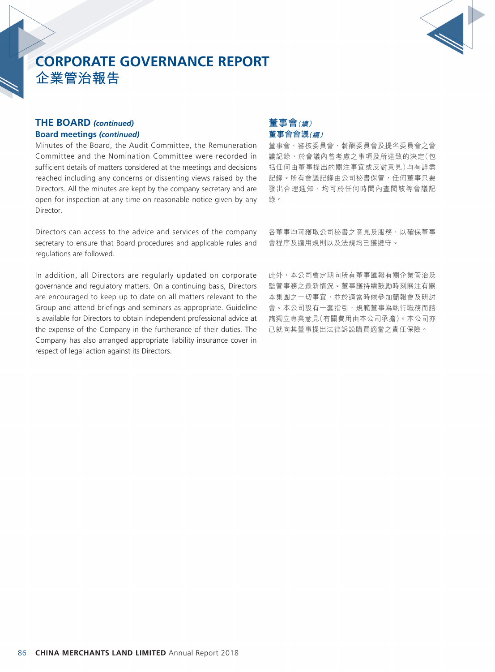

## **THE BOARD** *(continued)* **Board meetings** *(continued)*

Minutes of the Board, the Audit Committee, the Remuneration Committee and the Nomination Committee were recorded in sufficient details of matters considered at the meetings and decisions reached including any concerns or dissenting views raised by the Directors. All the minutes are kept by the company secretary and are open for inspection at any time on reasonable notice given by any Director.

Directors can access to the advice and services of the company secretary to ensure that Board procedures and applicable rules and regulations are followed.

In addition, all Directors are regularly updated on corporate governance and regulatory matters. On a continuing basis, Directors are encouraged to keep up to date on all matters relevant to the Group and attend briefings and seminars as appropriate. Guideline is available for Directors to obtain independent professional advice at the expense of the Company in the furtherance of their duties. The Company has also arranged appropriate liability insurance cover in respect of legal action against its Directors.

## **董事會(續) 董事會會議(續)**

董事會、審核委員會、薪酬委員會及提名委員會之會 議記錄,於會議內曾考慮之事項及所達致的決定(包 括任何由董事提出的關注事宜或反對意見)均有詳盡 記錄。所有會議記錄由公司秘書保管,任何董事只要 發出合理通知,均可於任何時間內查閱該等會議記 錄。

各董事均可獲取公司秘書之意見及服務,以確保董事 會程序及適用規則以及法規均已獲遵守。

此外,本公司會定期向所有董事匯報有關企業管治及 監管事務之最新情況。董事獲持續鼓勵時刻關注有關 本集團之一切事宜,並於適當時候參加簡報會及研討 會。本公司設有一套指引,規範董事為執行職務而諮 詢獨立專業意見(有關費用由本公司承擔)。本公司亦 已就向其董事提出法律訴訟購買適當之責任保險。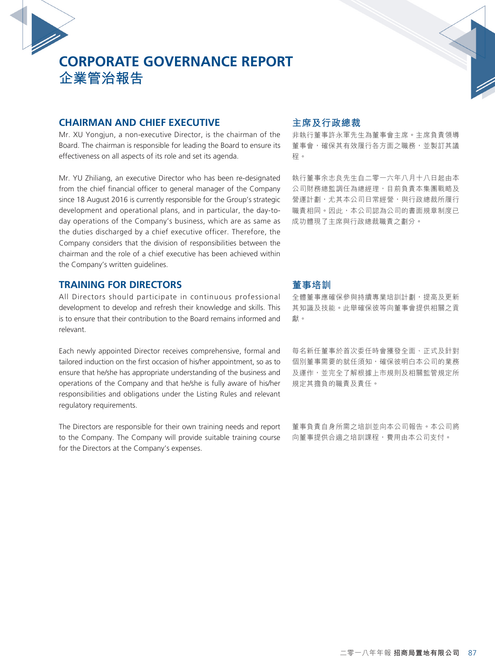## **CHAIRMAN AND CHIEF EXECUTIVE**

Mr. XU Yongiun, a non-executive Director, is the chairman of the Board. The chairman is responsible for leading the Board to ensure its effectiveness on all aspects of its role and set its agenda.

Mr. YU Zhiliang, an executive Director who has been re-designated from the chief financial officer to general manager of the Company since 18 August 2016 is currently responsible for the Group's strategic development and operational plans, and in particular, the day-today operations of the Company's business, which are as same as the duties discharged by a chief executive officer. Therefore, the Company considers that the division of responsibilities between the chairman and the role of a chief executive has been achieved within the Company's written guidelines.

## **TRAINING FOR DIRECTORS**

All Directors should participate in continuous professional development to develop and refresh their knowledge and skills. This is to ensure that their contribution to the Board remains informed and relevant.

Each newly appointed Director receives comprehensive, formal and tailored induction on the first occasion of his/her appointment, so as to ensure that he/she has appropriate understanding of the business and operations of the Company and that he/she is fully aware of his/her responsibilities and obligations under the Listing Rules and relevant regulatory requirements.

The Directors are responsible for their own training needs and report to the Company. The Company will provide suitable training course for the Directors at the Company's expenses.

#### **主席及行政總裁**

非執行董事許永軍先生為董事會主席。主席負責領導 董事會,確保其有效履行各方面之職務,並製訂其議 程。

執行董事余志良先生自二零一六年八月十八日起由本 公司財務總監調任為總經理,目前負責本集團戰略及 營運計劃,尤其本公司日常經營,與行政總裁所履行 職責相同。因此,本公司認為公司的書面規章制度已 成功體現了主席與行政總裁職責之劃分。

## **董事培訓**

全體董事應確保參與持續專業培訓計劃,提高及更新 其知識及技能。此舉確保彼等向董事會提供相關之貢 獻。

每名新任董事於首次委任時會獲發全面、正式及針對 個別董事需要的就任須知,確保彼明白本公司的業務 及運作,並完全了解根據上市規則及相關監管規定所 規定其擔負的職責及責任。

董事負責自身所需之培訓並向本公司報告。本公司將 向董事提供合適之培訓課程,費用由本公司支付。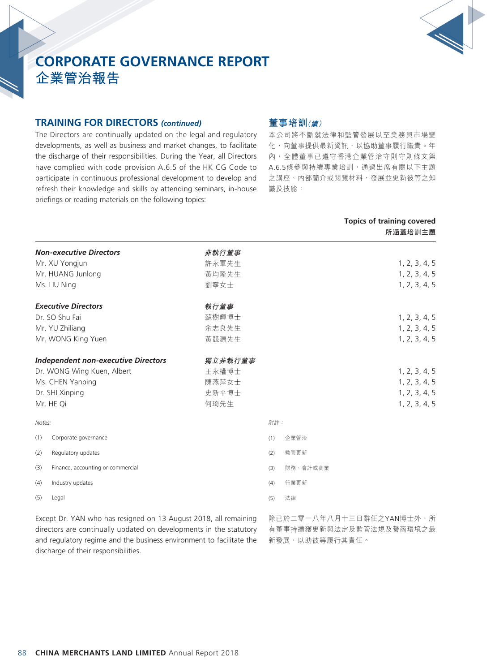

#### **TRAINING FOR DIRECTORS** *(continued)*

The Directors are continually updated on the legal and regulatory developments, as well as business and market changes, to facilitate the discharge of their responsibilities. During the Year, all Directors have complied with code provision A.6.5 of the HK CG Code to participate in continuous professional development to develop and refresh their knowledge and skills by attending seminars, in-house briefings or reading materials on the following topics:

## **董事培訓(續)**

本公司將不斷就法律和監管發展以至業務與市場變 化,向董事提供最新資訊,以協助董事履行職責。年 內,全體董事已遵守香港企業管治守則守則條文第 A.6.5條參與持續專業培訓,通過出席有關以下主題 之講座、內部簡介或閲覽材料,發展並更新彼等之知 識及技能:

**Topics of training covered**

|                                            |         |     |          | 所涵蓋培訓主題       |
|--------------------------------------------|---------|-----|----------|---------------|
| <b>Non-executive Directors</b>             | 非執行董事   |     |          |               |
| Mr. XU Yongjun                             | 許永軍先生   |     |          | 1, 2, 3, 4, 5 |
| Mr. HUANG Junlong                          | 黃均隆先生   |     |          | 1, 2, 3, 4, 5 |
| Ms. LIU Ning                               | 劉寧女士    |     |          | 1, 2, 3, 4, 5 |
| <b>Executive Directors</b>                 | 執行董事    |     |          |               |
| Dr. SO Shu Fai                             | 蘇樹輝博士   |     |          | 1, 2, 3, 4, 5 |
| Mr. YU Zhiliang                            | 余志良先生   |     |          | 1, 2, 3, 4, 5 |
| Mr. WONG King Yuen                         | 黃競源先生   |     |          | 1, 2, 3, 4, 5 |
| <b>Independent non-executive Directors</b> | 獨立非執行董事 |     |          |               |
| Dr. WONG Wing Kuen, Albert                 | 王永權博士   |     |          | 1, 2, 3, 4, 5 |
| Ms. CHEN Yanping                           | 陳燕萍女士   |     |          | 1, 2, 3, 4, 5 |
| Dr. SHI Xinping                            | 史新平博士   |     |          | 1, 2, 3, 4, 5 |
| Mr. HE Qi                                  | 何琦先生    |     |          | 1, 2, 3, 4, 5 |
| Notes:                                     |         | 附註: |          |               |
| (1)<br>Corporate governance                |         | (1) | 企業管治     |               |
| (2)<br>Regulatory updates                  |         | (2) | 監管更新     |               |
| Finance, accounting or commercial<br>(3)   |         | (3) | 財務、會計或商業 |               |
| Industry updates<br>(4)                    |         | (4) | 行業更新     |               |
| (5)<br>Legal                               |         | (5) | 法律       |               |

Except Dr. YAN who has resigned on 13 August 2018, all remaining directors are continually updated on developments in the statutory and regulatory regime and the business environment to facilitate the discharge of their responsibilities.

除已於二零一八年八月十三日辭任之YAN博士外,所 有董事持續獲更新與法定及監管法規及營商環境之最 新發展,以助彼等履行其責任。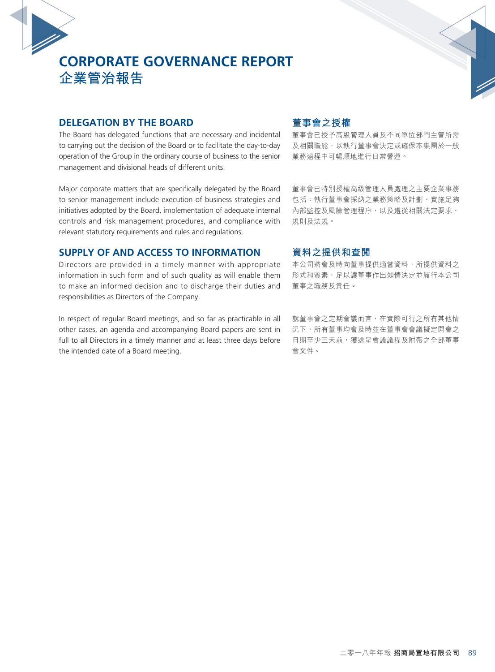## **DELEGATION BY THE BOARD**

The Board has delegated functions that are necessary and incidental to carrying out the decision of the Board or to facilitate the day-to-day operation of the Group in the ordinary course of business to the senior management and divisional heads of different units.

Major corporate matters that are specifically delegated by the Board to senior management include execution of business strategies and initiatives adopted by the Board, implementation of adequate internal controls and risk management procedures, and compliance with relevant statutory requirements and rules and regulations.

## **SUPPLY OF AND ACCESS TO INFORMATION**

Directors are provided in a timely manner with appropriate information in such form and of such quality as will enable them to make an informed decision and to discharge their duties and responsibilities as Directors of the Company.

In respect of regular Board meetings, and so far as practicable in all other cases, an agenda and accompanying Board papers are sent in full to all Directors in a timely manner and at least three days before the intended date of a Board meeting.

### **董事會之授權**

董事會已授予高級管理人員及不同單位部門主管所需 及相關職能,以執行董事會決定或確保本集團於一般 業務過程中可暢順地進行日常營運。

董事會已特別授權高級管理人員處理之主要企業事務 包括:執行董事會採納之業務策略及計劃、實施足夠 內部監控及風險管理程序,以及遵從相關法定要求、 規則及法規。

## **資料之提供和查閱**

本公司將會及時向董事提供適當資料,所提供資料之 形式和質素,足以讓董事作出知情決定並履行本公司 董事之職務及責任。

就董事會之定期會議而言,在實際可行之所有其他情 況下,所有董事均會及時並在董事會會議擬定開會之 日期至少三天前,獲送呈會議議程及附帶之全部董事 會文件。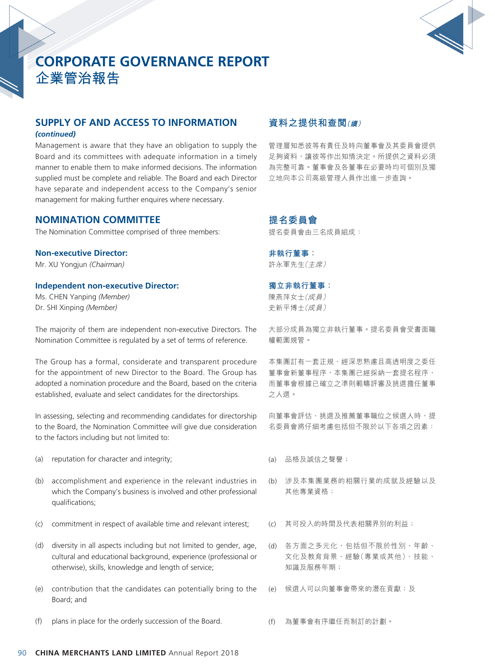

## **SUPPLY OF AND ACCESS TO INFORMATION**

#### *(continued)*

Management is aware that they have an obligation to supply the Board and its committees with adequate information in a timely manner to enable them to make informed decisions. The information supplied must be complete and reliable. The Board and each Director have separate and independent access to the Company's senior management for making further enquires where necessary.

## **NOMINATION COMMITTEE**

The Nomination Committee comprised of three members:

#### **Non-executive Director:**

Mr. XU Yongjun *(Chairman)*

#### **Independent non-executive Director:**

Ms. CHEN Yanping *(Member)* Dr. SHI Xinping *(Member)*

The majority of them are independent non-executive Directors. The Nomination Committee is regulated by a set of terms of reference.

The Group has a formal, considerate and transparent procedure for the appointment of new Director to the Board. The Group has adopted a nomination procedure and the Board, based on the criteria established, evaluate and select candidates for the directorships.

In assessing, selecting and recommending candidates for directorship to the Board, the Nomination Committee will give due consideration to the factors including but not limited to:

- (a) reputation for character and integrity;
- (b) accomplishment and experience in the relevant industries in which the Company's business is involved and other professional qualifications;
- (c) commitment in respect of available time and relevant interest;
- (d) diversity in all aspects including but not limited to gender, age, cultural and educational background, experience (professional or otherwise), skills, knowledge and length of service;
- (e) contribution that the candidates can potentially bring to the Board; and
- (f) plans in place for the orderly succession of the Board.

## **資料之提供和查閱(續)**

管理層知悉彼等有責任及時向董事會及其委員會提供 足夠資料,讓彼等作出知情決定。所提供之資料必須 為完整可靠。董事會及各董事在必要時均可個別及獨 立地向本公司高級管理人員作出進一步查詢。

### **提名委員會** 提名委員會由三名成員組成:

**非執行董事:** 許永軍先生(主席)

#### **獨立非執行董事:**

陳燕萍女士(成員) 史新平博士(成員)

大部分成員為獨立非執行董事。提名委員會受書面職 權範圍規管。

本集團訂有一套正規、經深思熟慮且高透明度之委任 董事會新董事程序,本集團已經採納一套提名程序, 而董事會根據已確立之準則範疇評審及挑選擔任董事 之人選。

向董事會評估、挑選及推薦董事職位之候選人時,提 名委員會將仔細考慮包括但不限於以下各項之因素:

- (a) 品格及誠信之聲譽;
- (b) 涉及本集團業務的相關行業的成就及經驗以及 其他專業資格;
- (c) 其可投入的時間及代表相關界別的利益;
- (d) 各方面之多元化,包括但不限於性別、年齡、 文化及教育背景、經驗(專業或其他)、技能、 知識及服務年期;
- (e) 候選人可以向董事會帶來的潛在貢獻;及

(f) 為董事會有序繼任而制訂的計劃。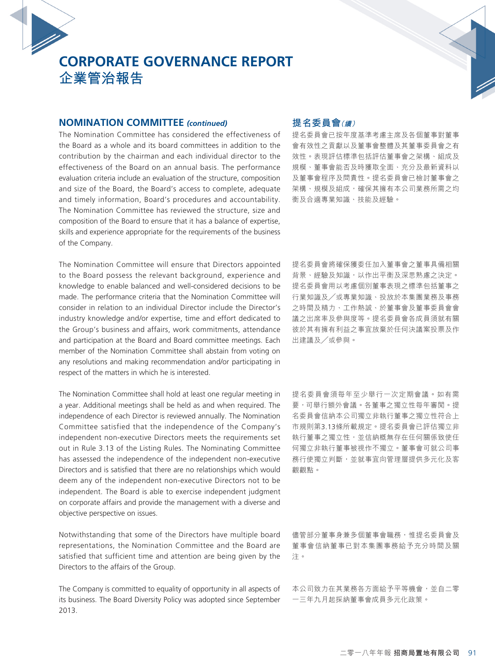#### **NOMINATION COMMITTEE** *(continued)*

The Nomination Committee has considered the effectiveness of the Board as a whole and its board committees in addition to the contribution by the chairman and each individual director to the effectiveness of the Board on an annual basis. The performance evaluation criteria include an evaluation of the structure, composition and size of the Board, the Board's access to complete, adequate and timely information, Board's procedures and accountability. The Nomination Committee has reviewed the structure, size and composition of the Board to ensure that it has a balance of expertise, skills and experience appropriate for the requirements of the business of the Company.

The Nomination Committee will ensure that Directors appointed to the Board possess the relevant background, experience and knowledge to enable balanced and well-considered decisions to be made. The performance criteria that the Nomination Committee will consider in relation to an individual Director include the Director's industry knowledge and/or expertise, time and effort dedicated to the Group's business and affairs, work commitments, attendance and participation at the Board and Board committee meetings. Each member of the Nomination Committee shall abstain from voting on any resolutions and making recommendation and/or participating in respect of the matters in which he is interested.

The Nomination Committee shall hold at least one regular meeting in a year. Additional meetings shall be held as and when required. The independence of each Director is reviewed annually. The Nomination Committee satisfied that the independence of the Company's independent non-executive Directors meets the requirements set out in Rule 3.13 of the Listing Rules. The Nominating Committee has assessed the independence of the independent non-executive Directors and is satisfied that there are no relationships which would deem any of the independent non-executive Directors not to be independent. The Board is able to exercise independent judgment on corporate affairs and provide the management with a diverse and objective perspective on issues.

Notwithstanding that some of the Directors have multiple board representations, the Nomination Committee and the Board are satisfied that sufficient time and attention are being given by the Directors to the affairs of the Group.

The Company is committed to equality of opportunity in all aspects of its business. The Board Diversity Policy was adopted since September 2013.

### **提名委員會(續)**

提名委員會已按年度基準考慮主席及各個董事對董事 會有效性之貢獻以及董事會整體及其董事委員會之有 效性。表現評估標準包括評估董事會之架構、組成及 規模、董事會能否及時獲取全面、充分及最新資料以 及董事會程序及問責性。提名委員會已檢討董事會之 架構、規模及組成,確保其擁有本公司業務所需之均 衡及合適專業知識、技能及經驗。

提名委員會將確保獲委任加入董事會之董事具備相關 背景、經驗及知識,以作出平衡及深思熟慮之決定。 提名委員會用以考慮個別董事表現之標準包括董事之 行業知識及╱或專業知識、投放於本集團業務及事務 之時間及精力、工作熱誠、於董事會及董事委員會會 議之出席率及參與度等。提名委員會各成員須就有關 彼於其有擁有利益之事宜放棄於任何決議案投票及作 出建議及╱或參與。

提名委員會須每年至少舉行一次定期會議。如有需 要,可舉行額外會議。各董事之獨立性每年審閱。提 名委員會信納本公司獨立非執行董事之獨立性符合上 市規則第3.13條所載規定。提名委員會已評估獨立非 執行董事之獨立性,並信納概無存在任何關係致使任 何獨立非執行董事被視作不獨立。董事會可就公司事 務行使獨立判斷,並就事宜向管理層提供多元化及客 觀觀點。

儘管部分董事身兼多個董事會職務,惟提名委員會及 董事會信納董事已對本集團事務給予充分時間及關 注。

本公司致力在其業務各方面給予平等機會,並自二零 一三年九月起採納董事會成員多元化政策。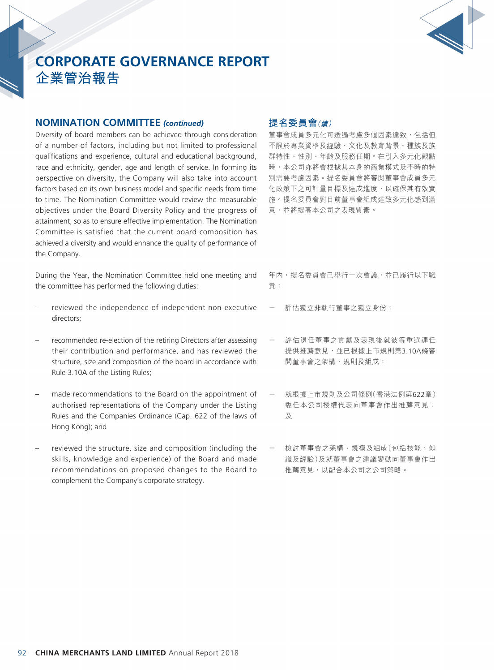

#### **NOMINATION COMMITTEE** *(continued)*

Diversity of board members can be achieved through consideration of a number of factors, including but not limited to professional qualifications and experience, cultural and educational background, race and ethnicity, gender, age and length of service. In forming its perspective on diversity, the Company will also take into account factors based on its own business model and specific needs from time to time. The Nomination Committee would review the measurable objectives under the Board Diversity Policy and the progress of attainment, so as to ensure effective implementation. The Nomination Committee is satisfied that the current board composition has achieved a diversity and would enhance the quality of performance of the Company.

During the Year, the Nomination Committee held one meeting and the committee has performed the following duties:

- reviewed the independence of independent non-executive directors;
- recommended re-election of the retiring Directors after assessing their contribution and performance, and has reviewed the structure, size and composition of the board in accordance with Rule 3.10A of the Listing Rules;
- made recommendations to the Board on the appointment of authorised representations of the Company under the Listing Rules and the Companies Ordinance (Cap. 622 of the laws of Hong Kong); and
- reviewed the structure, size and composition (including the skills, knowledge and experience) of the Board and made recommendations on proposed changes to the Board to complement the Company's corporate strategy.

## **提名委員會(續)**

董事會成員多元化可透過考慮多個因素達致,包括但 不限於專業資格及經驗、文化及教育背景、種族及族 群特性、性別、年齡及服務任期。在引入多元化觀點 時,本公司亦將會根據其本身的商業模式及不時的特 別需要考慮因素。提名委員會將審閱董事會成員多元 化政策下之可計量目標及達成進度,以確保其有效實 施。提名委員會對目前董事會組成達致多元化感到滿 意,並將提高本公司之表現質素。

- 年內,提名委員會已舉行一次會議,並已履行以下職 責:
- 評估獨立非執行董事之獨立身份;
- 評估退任董事之貢獻及表現後就彼等重選連任 提供推薦意見,並已根據上市規則第3.10A條審 閱董事會之架構、規則及組成;
- 就根據上市規則及公司條例(香港法例第622章) 委任本公司授權代表向董事會作出推薦意見; 及
- 檢討董事會之架構、規模及組成(包括技能、知 識及經驗)及就董事會之建議變動向董事會作出 推薦意見,以配合本公司之公司策略。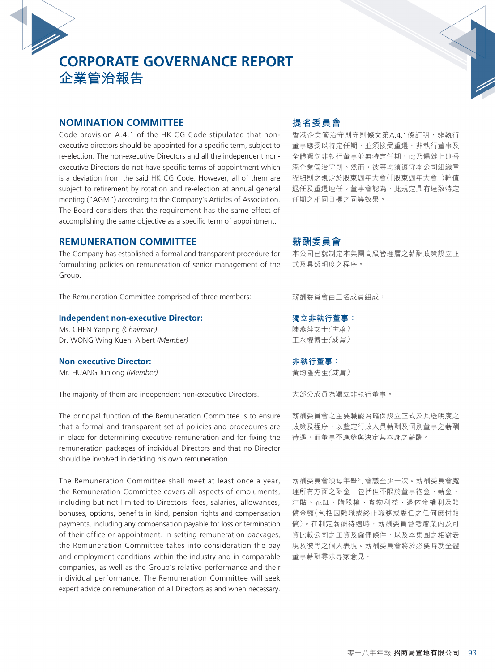### **NOMINATION COMMITTEE**

Code provision A.4.1 of the HK CG Code stipulated that nonexecutive directors should be appointed for a specific term, subject to re-election. The non-executive Directors and all the independent nonexecutive Directors do not have specific terms of appointment which is a deviation from the said HK CG Code. However, all of them are subject to retirement by rotation and re-election at annual general meeting ("AGM") according to the Company's Articles of Association. The Board considers that the requirement has the same effect of accomplishing the same objective as a specific term of appointment.

### **REMUNERATION COMMITTEE**

The Company has established a formal and transparent procedure for formulating policies on remuneration of senior management of the Group.

The Remuneration Committee comprised of three members:

#### **Independent non-executive Director:**

Ms. CHEN Yanping *(Chairman)* Dr. WONG Wing Kuen, Albert *(Member)*

#### **Non-executive Director:**

Mr. HUANG Junlong *(Member)*

The majority of them are independent non-executive Directors.

The principal function of the Remuneration Committee is to ensure that a formal and transparent set of policies and procedures are in place for determining executive remuneration and for fixing the remuneration packages of individual Directors and that no Director should be involved in deciding his own remuneration.

The Remuneration Committee shall meet at least once a year, the Remuneration Committee covers all aspects of emoluments, including but not limited to Directors' fees, salaries, allowances, bonuses, options, benefits in kind, pension rights and compensation payments, including any compensation payable for loss or termination of their office or appointment. In setting remuneration packages, the Remuneration Committee takes into consideration the pay and employment conditions within the industry and in comparable companies, as well as the Group's relative performance and their individual performance. The Remuneration Committee will seek expert advice on remuneration of all Directors as and when necessary.

## **提名委員會**

香港企業管治守則守則條文第A.4.1條訂明,非執行 董事應委以特定任期,並須接受重選。非執行董事及 全體獨立非執行董事並無特定任期,此乃偏離上述香 港企業管治守則。然而,彼等均須遵守本公司組織章 程細則之規定於股東週年大會(「股東週年大會」)輪值 退任及重選連任。董事會認為,此規定具有達致特定 任期之相同目標之同等效果。

## **薪酬委員會**

本公司已就制定本集團高級管理層之薪酬政策設立正 式及具透明度之程序。

薪酬委員會由三名成員組成:

**獨立非執行董事:** 陳燕萍女士(主席) 王永權博士(成員)

**非執行董事:** 黃均隆先生(成員)

大部分成員為獨立非執行董事。

薪酬委員會之主要職能為確保設立正式及具透明度之 政策及程序,以釐定行政人員薪酬及個別董事之薪酬 待遇,而董事不應參與決定其本身之薪酬。

薪酬委員會須每年舉行會議至少一次。薪酬委員會處 理所有方面之酬金,包括但不限於董事袍金、薪金、 津貼、花紅、購股權、實物利益、退休金權利及賠 償金額(包括因離職或終止職務或委任之任何應付賠 償)。在制定薪酬待遇時,薪酬委員會考慮業內及可 資比較公司之工資及僱傭條件,以及本集團之相對表 現及彼等之個人表現。薪酬委員會將於必要時就全體 董事薪酬尋求專家意見。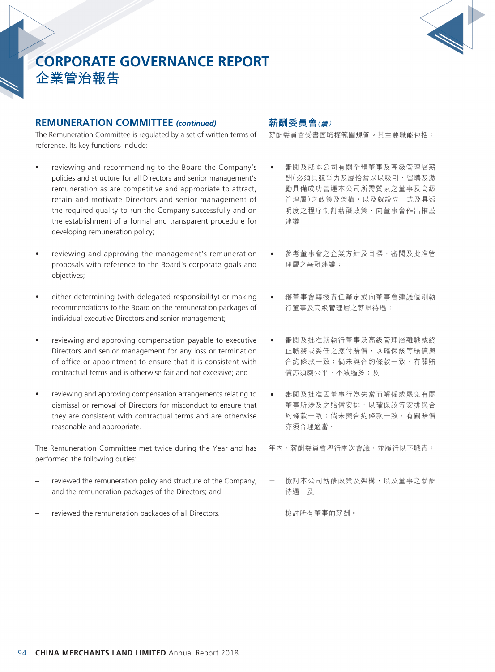

#### **REMUNERATION COMMITTEE** *(continued)*

The Remuneration Committee is regulated by a set of written terms of reference. Its key functions include:

- reviewing and recommending to the Board the Company's policies and structure for all Directors and senior management's remuneration as are competitive and appropriate to attract, retain and motivate Directors and senior management of the required quality to run the Company successfully and on the establishment of a formal and transparent procedure for developing remuneration policy;
- reviewing and approving the management's remuneration proposals with reference to the Board's corporate goals and objectives;
- • either determining (with delegated responsibility) or making recommendations to the Board on the remuneration packages of individual executive Directors and senior management;
- reviewing and approving compensation payable to executive Directors and senior management for any loss or termination of office or appointment to ensure that it is consistent with contractual terms and is otherwise fair and not excessive; and
- reviewing and approving compensation arrangements relating to dismissal or removal of Directors for misconduct to ensure that they are consistent with contractual terms and are otherwise reasonable and appropriate.

The Remuneration Committee met twice during the Year and has performed the following duties:

- reviewed the remuneration policy and structure of the Company, and the remuneration packages of the Directors; and
- reviewed the remuneration packages of all Directors.

## **薪酬委員會(續)**

薪酬委員會受書面職權範圍規管。其主要職能包括:

- 審閲及就本公司有關全體董事及高級管理層薪 酬(必須具競爭力及屬恰當以以吸引、留聘及激 勵具備成功營運本公司所需質素之董事及高級 管理層)之政策及架構,以及就設立正式及具诱 明度之程序制訂薪酬政策,向董事會作出推薦 建議;
- 參考董事會之企業方針及目標,審閱及批准管 理層之薪酬建議;
- 獲董事會轉授責任釐定或向董事會建議個別執 行董事及高級管理層之薪酬待遇;
- 審閲及批准就執行董事及高級管理層離職或終 止職務或委任之應付賠償,以確保該等賠償與 合約條款一致;倘未與合約條款一致,有關賠 償亦須屬公平,不致過多;及
- 審閲及批准因董事行為失當而解僱或罷免有關 董事所涉及之賠償安排,以確保該等安排與合 約條款一致;倘未與合約條款一致,有關賠償 亦須合理適當。

年內,薪酬委員會舉行兩次會議,並履行以下職責:

- 檢討本公司薪酬政策及架構,以及董事之薪酬 待遇;及
- 檢討所有董事的薪酬。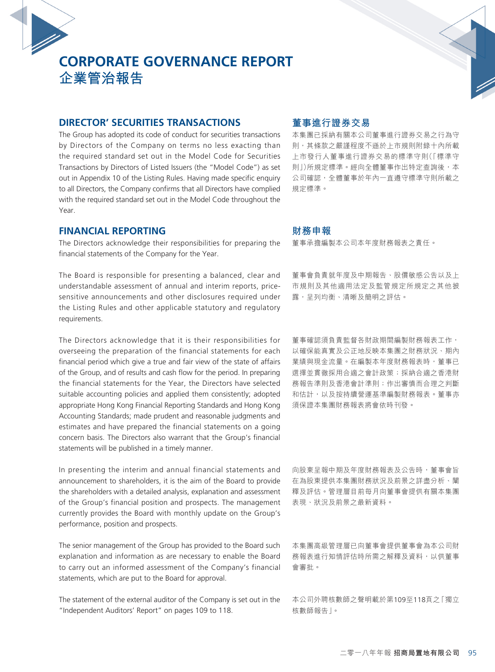## **DIRECTOR' SECURITIES TRANSACTIONS**

The Group has adopted its code of conduct for securities transactions by Directors of the Company on terms no less exacting than the required standard set out in the Model Code for Securities Transactions by Directors of Listed Issuers (the "Model Code") as set out in Appendix 10 of the Listing Rules. Having made specific enquiry to all Directors, the Company confirms that all Directors have complied with the required standard set out in the Model Code throughout the Year.

### **FINANCIAL REPORTING**

The Directors acknowledge their responsibilities for preparing the financial statements of the Company for the Year.

The Board is responsible for presenting a balanced, clear and understandable assessment of annual and interim reports, pricesensitive announcements and other disclosures required under the Listing Rules and other applicable statutory and regulatory requirements.

The Directors acknowledge that it is their responsibilities for overseeing the preparation of the financial statements for each financial period which give a true and fair view of the state of affairs of the Group, and of results and cash flow for the period. In preparing the financial statements for the Year, the Directors have selected suitable accounting policies and applied them consistently; adopted appropriate Hong Kong Financial Reporting Standards and Hong Kong Accounting Standards; made prudent and reasonable judgments and estimates and have prepared the financial statements on a going concern basis. The Directors also warrant that the Group's financial statements will be published in a timely manner.

In presenting the interim and annual financial statements and announcement to shareholders, it is the aim of the Board to provide the shareholders with a detailed analysis, explanation and assessment of the Group's financial position and prospects. The management currently provides the Board with monthly update on the Group's performance, position and prospects.

The senior management of the Group has provided to the Board such explanation and information as are necessary to enable the Board to carry out an informed assessment of the Company's financial statements, which are put to the Board for approval.

The statement of the external auditor of the Company is set out in the "Independent Auditors' Report" on pages 109 to 118.

### **董事進行證券交易**

本集團已採納有關本公司董事進行證券交易之行為守 則,其條款之嚴謹程度不遜於上市規則附錄十內所載 上市發行人董事進行證券交易的標準守則(「標準守 則」)所規定標準。經向全體董事作出特定查詢後,本 公司確認,全體董事於年內一直遵守標準守則所載之 規定標準。

#### **財務申報**

董事承擔編製本公司本年度財務報表之責任。

董事會負責就年度及中期報告、股價敏感公告以及上 市規則及其他適用法定及監管規定所規定之其他披 露,呈列均衡、清晰及簡明之評估。

董事確認須負責監督各財政期間編製財務報表工作, 以確保能真實及公正地反映本集團之財務狀況、期內 業績與現金流量。在編製本年度財務報表時,董事已 選擇並貫徹採用合適之會計政策;採納合適之香港財 務報告準則及香港會計準則;作出審慎而合理之判斷 和估計,以及按持續營運基準編製財務報表。董事亦 須保證本集團財務報表將會依時刊發。

向股東呈報中期及年度財務報表及公告時,董事會旨 在為股東提供本集團財務狀況及前景之詳盡分析、闡 釋及評估。管理層目前每月向董事會提供有關本集團 表現、狀況及前景之最新資料。

本集團高級管理層已向董事會提供董事會為本公司財 務報表進行知情評估時所需之解釋及資料,以供董事 會審批。

本公司外聘核數師之聲明載於第109至118頁之「獨立 核數師報告」。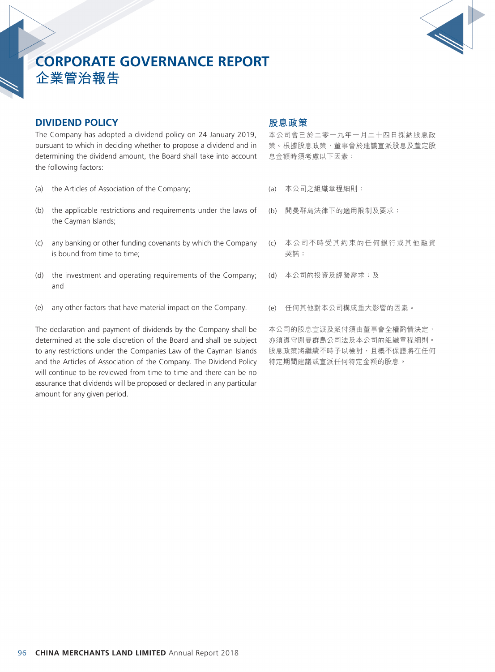

## **DIVIDEND POLICY**

The Company has adopted a dividend policy on 24 January 2019, pursuant to which in deciding whether to propose a dividend and in determining the dividend amount, the Board shall take into account the following factors:

- (a) the Articles of Association of the Company;
- (b) the applicable restrictions and requirements under the laws of the Cayman Islands;
- (c) any banking or other funding covenants by which the Company is bound from time to time;
- (d) the investment and operating requirements of the Company; and
- (e) any other factors that have material impact on the Company.

The declaration and payment of dividends by the Company shall be determined at the sole discretion of the Board and shall be subject to any restrictions under the Companies Law of the Cayman Islands and the Articles of Association of the Company. The Dividend Policy will continue to be reviewed from time to time and there can be no assurance that dividends will be proposed or declared in any particular amount for any given period.

#### **股息政策**

本公司會已於二零一九年一月二十四日採納股息政 策。根據股息政策,董事會於建議宣派股息及釐定股 息金額時須考慮以下因素:

- (a) 本公司之組織章程細則;
- (b) 開曼群島法律下的適用限制及要求;
- (c) 本公司不時受其約束的任何銀行或其他融資 契諾;
- (d) 本公司的投資及經營需求;及
- (e) 任何其他對本公司構成重大影響的因素。

本公司的股息宣派及派付須由董事會全權酌情決定, 亦須遵守開曼群島公司法及本公司的組織章程細則。 股息政策將繼續不時予以檢討,且概不保證將在任何 特定期間建議或宣派任何特定金額的股息。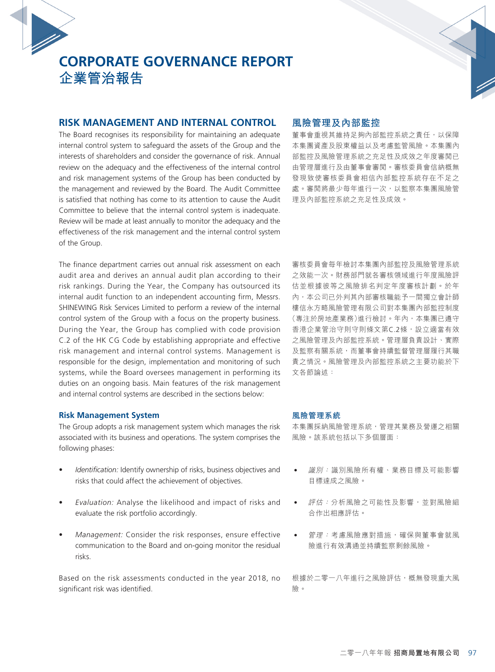## **RISK MANAGEMENT AND INTERNAL CONTROL**

The Board recognises its responsibility for maintaining an adequate internal control system to safeguard the assets of the Group and the interests of shareholders and consider the governance of risk. Annual review on the adequacy and the effectiveness of the internal control and risk management systems of the Group has been conducted by the management and reviewed by the Board. The Audit Committee is satisfied that nothing has come to its attention to cause the Audit Committee to believe that the internal control system is inadequate. Review will be made at least annually to monitor the adequacy and the effectiveness of the risk management and the internal control system of the Group.

The finance department carries out annual risk assessment on each audit area and derives an annual audit plan according to their risk rankings. During the Year, the Company has outsourced its internal audit function to an independent accounting firm, Messrs. SHINEWING Risk Services Limited to perform a review of the internal control system of the Group with a focus on the property business. During the Year, the Group has complied with code provision C.2 of the HK CG Code by establishing appropriate and effective risk management and internal control systems. Management is responsible for the design, implementation and monitoring of such systems, while the Board oversees management in performing its duties on an ongoing basis. Main features of the risk management and internal control systems are described in the sections below:

#### **Risk Management System**

The Group adopts a risk management system which manages the risk associated with its business and operations. The system comprises the following phases:

- *Identification:* Identify ownership of risks, business objectives and risks that could affect the achievement of objectives.
- Evaluation: Analyse the likelihood and impact of risks and evaluate the risk portfolio accordingly.
- Management: Consider the risk responses, ensure effective communication to the Board and on-going monitor the residual risks.

Based on the risk assessments conducted in the year 2018, no significant risk was identified.

### **風險管理及內部監控**

董事會重視其維持足夠內部監控系統之責任,以保障 本集團資產及股東權益以及考慮監管風險。本集團內 部監控及風險管理系統之充足性及成效之年度審閱已 由管理層進行及由董事會審閱。審核委員會信納概無 發現致使審核委員會相信內部監控系統存在不足之 處。審閲將最少每年進行一次,以監察本集團風險管 理及內部監控系統之充足性及成效。

審核委員會每年檢討本集團內部監控及風險管理系統 之效能一次。財務部門就各審核領域進行年度風險評 估並根據彼等之風險排名判定年度審核計劃。於年 內,本公司已外判其內部審核職能予一間獨立會計師 樓信永方略風險管理有限公司對本集團內部監控制度 (專注於房地產業務)進行檢討。年內,本集團已遵守 香港企業管治守則守則條文第C.2條,設立適當有效 之風險管理及內部監控系統。管理層負責設計、實際 及監察有關系統,而董事會持續監督管理層履行其職 責之情況。風險管理及內部監控系統之主要功能於下 文各節論述:

#### **風險管理系統**

本集團採納風險管理系統,管理其業務及營運之相關 風險。該系統包括以下多個層面:

- 識別:識別風險所有權、業務目標及可能影響 目標達成之風險。
- 評估:分析風險之可能性及影響,並對風險組 合作出相應評估。
- 管理:考慮風險應對措施,確保與董事會就風 險進行有效溝通並持續監察剩餘風險。

根據於二零一八年進行之風險評估,概無發現重大風 險。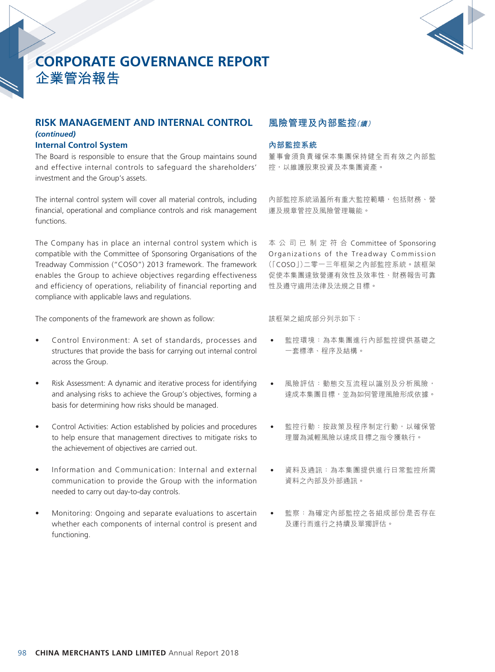

## **RISK MANAGEMENT AND INTERNAL CONTROL**  *(continued)*

#### **Internal Control System**

The Board is responsible to ensure that the Group maintains sound and effective internal controls to safeguard the shareholders' investment and the Group's assets.

The internal control system will cover all material controls, including financial, operational and compliance controls and risk management functions.

The Company has in place an internal control system which is compatible with the Committee of Sponsoring Organisations of the Treadway Commission ("COSO") 2013 framework. The framework enables the Group to achieve objectives regarding effectiveness and efficiency of operations, reliability of financial reporting and compliance with applicable laws and regulations.

The components of the framework are shown as follow:

- Control Environment: A set of standards, processes and structures that provide the basis for carrying out internal control across the Group.
- Risk Assessment: A dynamic and iterative process for identifying and analysing risks to achieve the Group's objectives, forming a basis for determining how risks should be managed.
- Control Activities: Action established by policies and procedures to help ensure that management directives to mitigate risks to the achievement of objectives are carried out.
- Information and Communication: Internal and external communication to provide the Group with the information needed to carry out day-to-day controls.
- Monitoring: Ongoing and separate evaluations to ascertain whether each components of internal control is present and functioning.

## **風險管理及內部監控(續)**

#### **內部監控系統**

董事會須負責確保本集團保持健全而有效之內部監 控,以維護股東投資及本集團資產。

內部監控系統涵蓋所有重大監控範疇,包括財務、營 運及規章管控及風險管理職能。

本公司已制定符合 Committee of Sponsoring Organizations of the Treadway Commission (「COSO」)二零一三年框架之內部監控系統。該框架 促使本集團達致營運有效性及效率性、財務報告可靠 性及遵守適用法律及法規之目標。

該框架之組成部分列示如下:

- 監控環境:為本集團進行內部監控提供基礎之 一套標準、程序及結構。
- 風險評估:動態交互流程以識別及分析風險, 達成本集團目標,並為如何管理風險形成依據。
- 監控行動:按政策及程序制定行動,以確保管 理層為減輕風險以達成目標之指令獲執行。
- 資料及通訊:為本集團提供進行日常監控所需 資料之內部及外部通訊。
- 監察:為確定內部監控之各組成部份是否存在 及運行而進行之持續及單獨評估。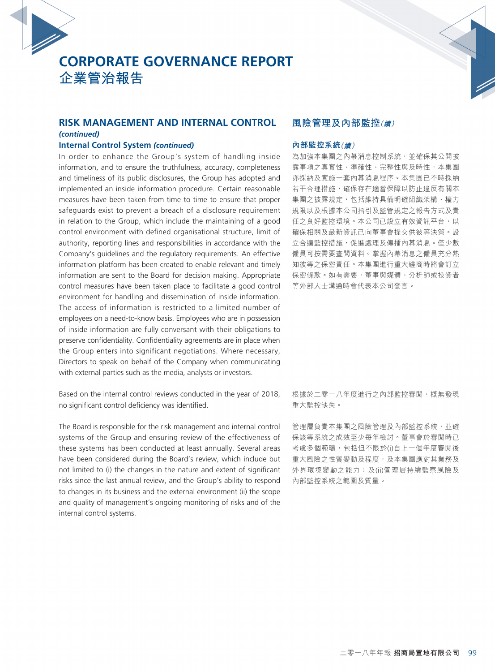

#### **RISK MANAGEMENT AND INTERNAL CONTROL**  *(continued)*

#### **Internal Control System** *(continued)*

In order to enhance the Group's system of handling inside information, and to ensure the truthfulness, accuracy, completeness and timeliness of its public disclosures, the Group has adopted and implemented an inside information procedure. Certain reasonable measures have been taken from time to time to ensure that proper safeguards exist to prevent a breach of a disclosure requirement in relation to the Group, which include the maintaining of a good control environment with defined organisational structure, limit of authority, reporting lines and responsibilities in accordance with the Company's guidelines and the regulatory requirements. An effective information platform has been created to enable relevant and timely information are sent to the Board for decision making. Appropriate control measures have been taken place to facilitate a good control environment for handling and dissemination of inside information. The access of information is restricted to a limited number of employees on a need-to-know basis. Employees who are in possession of inside information are fully conversant with their obligations to preserve confidentiality. Confidentiality agreements are in place when the Group enters into significant negotiations. Where necessary, Directors to speak on behalf of the Company when communicating with external parties such as the media, analysts or investors.

Based on the internal control reviews conducted in the year of 2018, no significant control deficiency was identified.

The Board is responsible for the risk management and internal control systems of the Group and ensuring review of the effectiveness of these systems has been conducted at least annually. Several areas have been considered during the Board's review, which include but not limited to (i) the changes in the nature and extent of significant risks since the last annual review, and the Group's ability to respond to changes in its business and the external environment (ii) the scope and quality of management's ongoing monitoring of risks and of the internal control systems.

## **風險管理及內部監控(續)**

#### **內部監控系統(續)**

為加強本集團之內幕消息控制系統,並確保其公開披 露事項之真實性、準確性、完整性與及時性,本集團 亦採納及實施一套內幕消息程序。本集團已不時採納 若干合理措施,確保存在適當保障以防止違反有關本 集團之披露規定,包括維持具備明確組織架構、權力 規限以及根據本公司指引及監管規定之報告方式及責 任之良好監控環境。本公司已設立有效資訊平台,以 確保相關及最新資訊已向董事會提交供彼等決策。設 立合適監控措施,促進處理及傳播內幕消息。僅少數 僱員可按需要查閱資料。掌握內幕消息之僱員充分熟 知彼等之保密責任。本集團進行重大磋商時將會訂立 保密條款。如有需要,董事與媒體、分析師或投資者 等外部人士溝通時會代表本公司發言。

根據於二零一八年度進行之內部監控審閱,概無發現 重大監控缺失。

管理層負責本集團之風險管理及內部監控系統,並確 保該等系統之成效至少每年檢討。董事會於審閱時已 考慮多個範疇,包括但不限於(i)自上一個年度審閱後 重大風險之性質變動及程度,及本集團應對其業務及 外界環境變動之能力;及(ii)管理層持續監察風險及 內部監控系統之範圍及質量。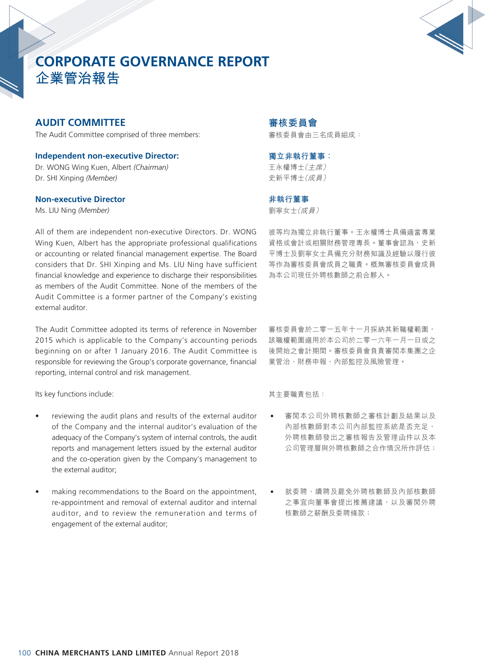

## **AUDIT COMMITTEE**

The Audit Committee comprised of three members:

**Independent non-executive Director:** Dr. WONG Wing Kuen, Albert *(Chairman)* Dr. SHI Xinping *(Member)*

#### **Non-executive Director**

Ms. LIU Ning *(Member)*

All of them are independent non-executive Directors. Dr. WONG Wing Kuen, Albert has the appropriate professional qualifications or accounting or related financial management expertise. The Board considers that Dr. SHI Xinping and Ms. LIU Ning have sufficient financial knowledge and experience to discharge their responsibilities as members of the Audit Committee. None of the members of the Audit Committee is a former partner of the Company's existing external auditor.

The Audit Committee adopted its terms of reference in November 2015 which is applicable to the Company's accounting periods beginning on or after 1 January 2016. The Audit Committee is responsible for reviewing the Group's corporate governance, financial reporting, internal control and risk management.

Its key functions include:

- reviewing the audit plans and results of the external auditor of the Company and the internal auditor's evaluation of the adequacy of the Company's system of internal controls, the audit reports and management letters issued by the external auditor and the co-operation given by the Company's management to the external auditor;
- making recommendations to the Board on the appointment, re-appointment and removal of external auditor and internal auditor, and to review the remuneration and terms of engagement of the external auditor;

## **審核委員會**

審核委員會由三名成員組成:

#### **獨立非執行董事:**

王永權博士(主席) 史新平博士(成員)

#### **非執行董事**

劉寧女士(成員)

彼等均為獨立非執行董事。王永權博士具備適當專業 資格或會計或相關財務管理專長。董事會認為,史新 平博士及劉寧女士具備充分財務知識及經驗以履行彼 等作為審核委員會成員之職責。概無審核委員會成員 為本公司現任外聘核數師之前合夥人。

審核委員會於二零一五年十一月採納其新職權範圍, 該職權範圍適用於本公司於二零一六年一月一日或之 後開始之會計期間。審核委員會負責審閱本集團之企 業管治、財務申報、內部監控及風險管理。

其主要職責包括:

- 審閲本公司外聘核數師之審核計劃及結果以及 內部核數師對本公司內部監控系統是否充足、 外聘核數師發出之審核報告及管理函件以及本 公司管理層與外聘核數師之合作情況所作評估;
- 就委聘、續聘及罷免外聘核數師及內部核數師 之事宜向董事會提出推薦建議,以及審閲外聘 核數師之薪酬及委聘條款;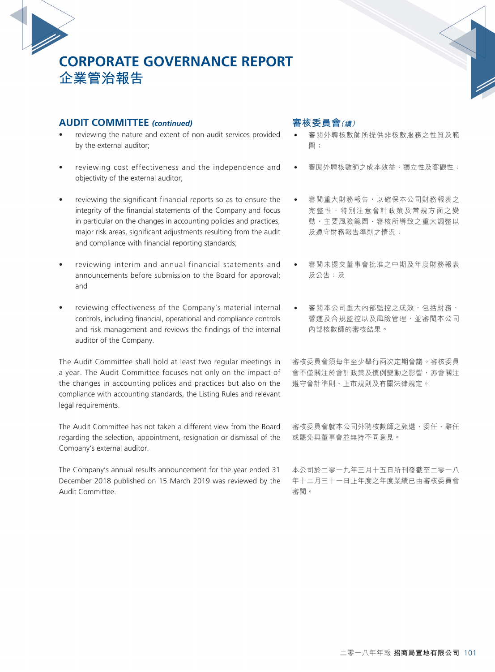## **AUDIT COMMITTEE** *(continued)*

- reviewing the nature and extent of non-audit services provided by the external auditor;
- reviewing cost effectiveness and the independence and objectivity of the external auditor;
- reviewing the significant financial reports so as to ensure the integrity of the financial statements of the Company and focus in particular on the changes in accounting policies and practices, major risk areas, significant adjustments resulting from the audit and compliance with financial reporting standards;
- reviewing interim and annual financial statements and announcements before submission to the Board for approval; and
- reviewing effectiveness of the Company's material internal controls, including financial, operational and compliance controls and risk management and reviews the findings of the internal auditor of the Company.

The Audit Committee shall hold at least two regular meetings in a year. The Audit Committee focuses not only on the impact of the changes in accounting polices and practices but also on the compliance with accounting standards, the Listing Rules and relevant legal requirements.

The Audit Committee has not taken a different view from the Board regarding the selection, appointment, resignation or dismissal of the Company's external auditor.

The Company's annual results announcement for the year ended 31 December 2018 published on 15 March 2019 was reviewed by the Audit Committee.

## **審核委員會(續)**

- 審閲外聘核數師所提供非核數服務之性質及範 圍;
- 審閲外聘核數師之成本效益、獨立性及客觀性;
- 審閲重大財務報告,以確保本公司財務報表之 完整性,特別注意會計政策及常規方面之變 動、主要風險範圍、審核所導致之重大調整以 及遵守財務報告準則之情況;
- 審閲未提交董事會批准之中期及年度財務報表 及公告;及
- 審閲本公司重大內部監控之成效,包括財務、 營運及合規監控以及風險管理,並審閱本公司 內部核數師的審核結果。

審核委員會須每年至少舉行兩次定期會議。審核委員 會不僅關注於會計政策及慣例變動之影響,亦會關注 遵守會計準則、上市規則及有關法律規定。

審核委員會就本公司外聘核數師之甄選、委任、辭任 或罷免與董事會並無持不同意見。

本公司於二零一九年三月十五日所刊發截至二零一八 年十二月三十一日止年度之年度業績已由審核委員會 審閱。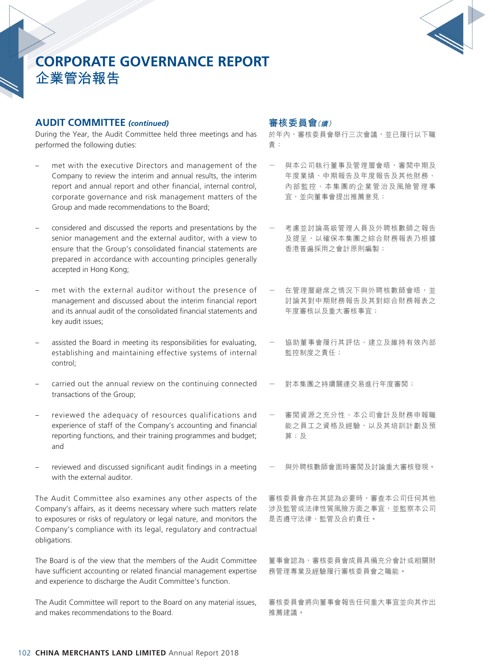

## **AUDIT COMMITTEE** *(continued)*

During the Year, the Audit Committee held three meetings and has performed the following duties:

- met with the executive Directors and management of the Company to review the interim and annual results, the interim report and annual report and other financial, internal control, corporate governance and risk management matters of the Group and made recommendations to the Board;
- considered and discussed the reports and presentations by the senior management and the external auditor, with a view to ensure that the Group's consolidated financial statements are prepared in accordance with accounting principles generally accepted in Hong Kong;
- met with the external auditor without the presence of management and discussed about the interim financial report and its annual audit of the consolidated financial statements and key audit issues;
- assisted the Board in meeting its responsibilities for evaluating, establishing and maintaining effective systems of internal control;
- carried out the annual review on the continuing connected transactions of the Group;
- reviewed the adequacy of resources qualifications and experience of staff of the Company's accounting and financial reporting functions, and their training programmes and budget; and
- reviewed and discussed significant audit findings in a meeting with the external auditor.

The Audit Committee also examines any other aspects of the Company's affairs, as it deems necessary where such matters relate to exposures or risks of regulatory or legal nature, and monitors the Company's compliance with its legal, regulatory and contractual obligations.

The Board is of the view that the members of the Audit Committee have sufficient accounting or related financial management expertise and experience to discharge the Audit Committee's function.

The Audit Committee will report to the Board on any material issues, and makes recommendations to the Board.

## **審核委員會(續)**

於年內,審核委員會舉行三次會議,並已履行以下職 責:

- 與本公司執行董事及管理層會晤,審閲中期及 年度業績、中期報告及年度報告及其他財務、 內部監控、本集團的企業管治及風險管理事 宜,並向董事會提出推薦意見;
- 考慮並討論高級管理人員及外聘核數師之報告 及提呈,以確保本集團之綜合財務報表乃根據 香港普遍採用之會計原則編製;
- 在管理層避席之情況下與外聘核數師會晤,並 討論其對中期財務報告及其對綜合財務報表之 年度審核以及重大審核事宜;
- 協助董事會履行其評估、建立及維持有效內部 監控制度之責任;
- 對本集團之持續關連交易進行年度審閱;
- 審閱資源之充分性、本公司會計及財務申報職 能之員工之資格及經驗,以及其培訓計劃及預 算;及
- 與外聘核數師會面時審閱及討論重大審核發現。

審核委員會亦在其認為必要時,審查本公司任何其他 涉及監管或法律性質風險方面之事宜,並監察本公司 是否遵守法律、監管及合約責任。

董事會認為,審核委員會成員具備充分會計或相關財 務管理專業及經驗履行審核委員會之職能。

審核委員會將向董事會報告任何重大事宜並向其作出 推薦建議。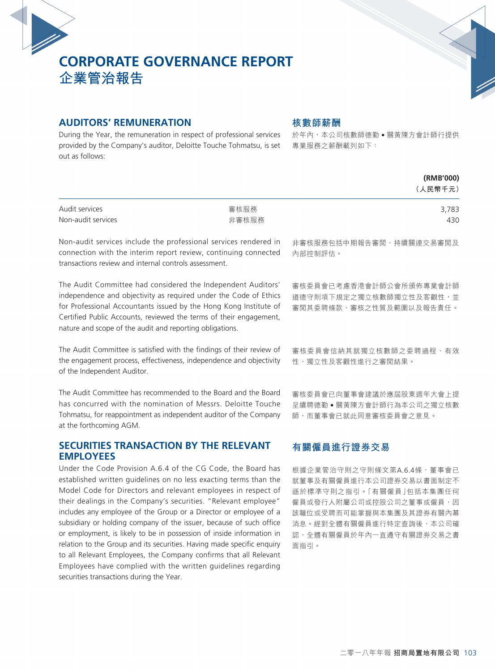

## **AUDITORS' REMUNERATION**

securities transactions during the Year.

During the Year, the remuneration in respect of professional services provided by the Company's auditor, Deloitte Touche Tohmatsu, is set 專業服務之薪酬載列如下: out as follows:

## **核數師薪酬**

於年內,本公司核數師德勤 • 關黃陳方會計師行提供

|                                                                                                                                                                                                                                                                                                                                                                                                                                                                                                                                                                                                                                                                                                            |               | (RMB'000)<br>(人民幣千元)                                                                                                                                                                                        |
|------------------------------------------------------------------------------------------------------------------------------------------------------------------------------------------------------------------------------------------------------------------------------------------------------------------------------------------------------------------------------------------------------------------------------------------------------------------------------------------------------------------------------------------------------------------------------------------------------------------------------------------------------------------------------------------------------------|---------------|-------------------------------------------------------------------------------------------------------------------------------------------------------------------------------------------------------------|
| Audit services<br>Non-audit services                                                                                                                                                                                                                                                                                                                                                                                                                                                                                                                                                                                                                                                                       | 審核服務<br>非審核服務 | 3,783<br>430                                                                                                                                                                                                |
| Non-audit services include the professional services rendered in<br>connection with the interim report review, continuing connected<br>transactions review and internal controls assessment.                                                                                                                                                                                                                                                                                                                                                                                                                                                                                                               |               | 非審核服務包括中期報告審閲、持續關連交易審閲及<br>內部控制評估。                                                                                                                                                                          |
| The Audit Committee had considered the Independent Auditors'<br>independence and objectivity as required under the Code of Ethics<br>for Professional Accountants issued by the Hong Kong Institute of<br>Certified Public Accounts, reviewed the terms of their engagement,<br>nature and scope of the audit and reporting obligations.                                                                                                                                                                                                                                                                                                                                                                   |               | 審核委員會已考慮香港會計師公會所頒佈專業會計師<br>道德守則項下規定之獨立核數師獨立性及客觀性,並<br>審閲其委聘條款、審核之性質及範圍以及報告責任。                                                                                                                               |
| The Audit Committee is satisfied with the findings of their review of<br>the engagement process, effectiveness, independence and objectivity<br>of the Independent Auditor.                                                                                                                                                                                                                                                                                                                                                                                                                                                                                                                                |               | 審核委員會信納其就獨立核數師之委聘過程、有效<br>性、獨立性及客觀性進行之審閲結果。                                                                                                                                                                 |
| The Audit Committee has recommended to the Board and the Board<br>has concurred with the nomination of Messrs. Deloitte Touche<br>Tohmatsu, for reappointment as independent auditor of the Company<br>at the forthcoming AGM.                                                                                                                                                                                                                                                                                                                                                                                                                                                                             |               | 審核委員會已向董事會建議於應屆股東週年大會上提<br>呈續聘德勤●關黃陳方會計師行為本公司之獨立核數<br>師,而董事會已就此同意審核委員會之意見。                                                                                                                                  |
| <b>SECURITIES TRANSACTION BY THE RELEVANT</b><br><b>EMPLOYEES</b>                                                                                                                                                                                                                                                                                                                                                                                                                                                                                                                                                                                                                                          |               | 有關僱員進行證券交易                                                                                                                                                                                                  |
| Under the Code Provision A.6.4 of the CG Code, the Board has<br>established written guidelines on no less exacting terms than the<br>Model Code for Directors and relevant employees in respect of<br>their dealings in the Company's securities. "Relevant employee"<br>includes any employee of the Group or a Director or employee of a<br>subsidiary or holding company of the issuer, because of such office<br>or employment, is likely to be in possession of inside information in<br>relation to the Group and its securities. Having made specific enquiry<br>to all Relevant Employees, the Company confirms that all Relevant<br>Employees have complied with the written guidelines regarding |               | 根據企業管治守則之守則條文第A.6.4條,董事會已<br>就董事及有關僱員進行本公司證券交易以書面制定不<br>遜於標準守則之指引。「有關僱員」包括本集團任何<br>僱員或發行人附屬公司或控股公司之董事或僱員, <b>因</b><br>該職位或受聘而可能掌握與本集團及其證券有關內幕<br>消息。經對全體有關僱員進行特定查詢後,本公司確<br>認,全體有關僱員於年內一直遵守有關證券交易之書<br>面指引。 |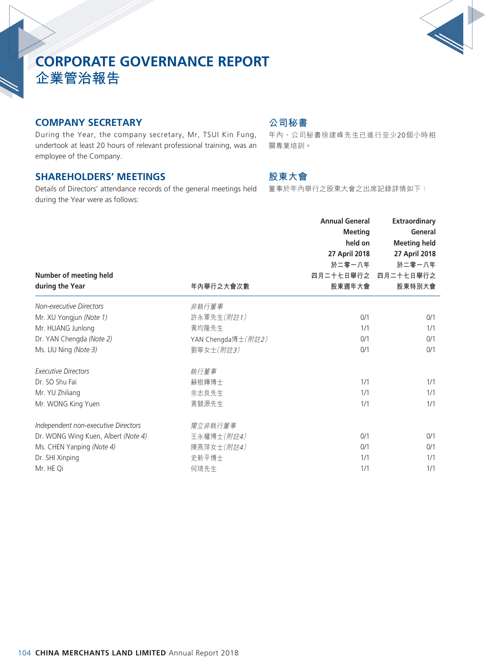

# **CORPORATE GOVERNANCE REPORT**

**企業管治報告**

## **COMPANY SECRETARY**

During the Year, the company secretary, Mr, TSUI Kin Fung, undertook at least 20 hours of relevant professional training, was an employee of the Company.

## **SHAREHOLDERS' MEETINGS**

Details of Directors' attendance records of the general meetings held during the Year were as follows:

## **公司秘書**

年內,公司秘書徐建峰先生已進行至少20個小時相 關專業培訓。

## **股東大會**

董事於年內舉行之股東大會之出席記錄詳情如下:

| Number of meeting held<br>during the Year | 年內舉行之大會次數          | <b>Annual General</b><br><b>Meeting</b><br>held on<br>27 April 2018<br>於二零一八年<br>四月二十七日舉行之<br>股東週年大會 | <b>Extraordinary</b><br>General<br><b>Meeting held</b><br>27 April 2018<br>於二零一八年<br>四月二十七日舉行之<br>股東特別大會 |
|-------------------------------------------|--------------------|------------------------------------------------------------------------------------------------------|----------------------------------------------------------------------------------------------------------|
| Non-executive Directors                   | 非執行董事              |                                                                                                      |                                                                                                          |
| Mr. XU Yongjun (Note 1)                   | 許永軍先生(附註1)         | 0/1                                                                                                  | 0/1                                                                                                      |
| Mr. HUANG Junlong                         | 黃均隆先生              | 1/1                                                                                                  | 1/1                                                                                                      |
| Dr. YAN Chengda (Note 2)                  | YAN Chengda博士(附註2) | 0/1                                                                                                  | 0/1                                                                                                      |
| Ms. LIU Ning (Note 3)                     | 劉寧女士(附註3)          | 0/1                                                                                                  | 0/1                                                                                                      |
| <b>Executive Directors</b>                | 執行董事               |                                                                                                      |                                                                                                          |
| Dr. SO Shu Fai                            | 蘇樹輝博士              | 1/1                                                                                                  | 1/1                                                                                                      |
| Mr. YU Zhiliang                           | 余志良先生              | 1/1                                                                                                  | 1/1                                                                                                      |
| Mr. WONG King Yuen                        | 黃競源先生              | 1/1                                                                                                  | 1/1                                                                                                      |
| Independent non-executive Directors       | 獨立非執行董事            |                                                                                                      |                                                                                                          |
| Dr. WONG Wing Kuen, Albert (Note 4)       | 王永權博士(附註4)         | 0/1                                                                                                  | 0/1                                                                                                      |
| Ms. CHEN Yanping (Note 4)                 | 陳燕萍女士(附註4)         | 0/1                                                                                                  | 0/1                                                                                                      |
| Dr. SHI Xinping                           | 史新平博士              | 1/1                                                                                                  | 1/1                                                                                                      |
| Mr. HE Qi                                 | 何琦先生               | 1/1                                                                                                  | 1/1                                                                                                      |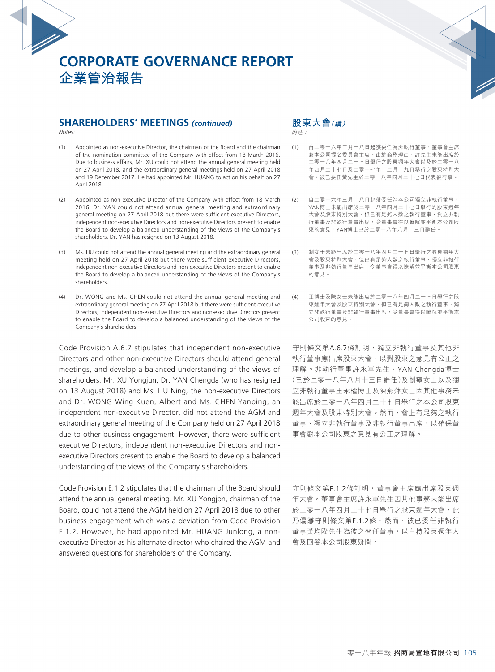

#### **SHAREHOLDERS' MEETINGS** *(continued)*

*Notes:*

- (1) Appointed as non-executive Director, the chairman of the Board and the chairman of the nomination committee of the Company with effect from 18 March 2016. Due to business affairs, Mr. XU could not attend the annual general meeting held on 27 April 2018, and the extraordinary general meetings held on 27 April 2018 and 19 December 2017. He had appointed Mr. HUANG to act on his behalf on 27 April 2018.
- (2) Appointed as non-executive Director of the Company with effect from 18 March 2016. Dr. YAN could not attend annual general meeting and extraordinary general meeting on 27 April 2018 but there were sufficient executive Directors, independent non-executive Directors and non-executive Directors present to enable the Board to develop a balanced understanding of the views of the Company's shareholders. Dr. YAN has resigned on 13 August 2018.
- (3) Ms. LIU could not attend the annual general meeting and the extraordinary general meeting held on 27 April 2018 but there were sufficient executive Directors, independent non-executive Directors and non-executive Directors present to enable the Board to develop a balanced understanding of the views of the Company's shareholders.
- (4) Dr. WONG and Ms. CHEN could not attend the annual general meeting and extraordinary general meeting on 27 April 2018 but there were sufficient executive Directors, independent non-executive Directors and non-executive Directors present to enable the Board to develop a balanced understanding of the views of the Company's shareholders.

Code Provision A.6.7 stipulates that independent non-executive Directors and other non-executive Directors should attend general meetings, and develop a balanced understanding of the views of shareholders. Mr. XU Yongjun, Dr. YAN Chengda (who has resigned on 13 August 2018) and Ms. LIU Ning, the non-executive Directors and Dr. WONG Wing Kuen, Albert and Ms. CHEN Yanping, an independent non-executive Director, did not attend the AGM and extraordinary general meeting of the Company held on 27 April 2018 due to other business engagement. However, there were sufficient executive Directors, independent non-executive Directors and nonexecutive Directors present to enable the Board to develop a balanced understanding of the views of the Company's shareholders.

Code Provision E.1.2 stipulates that the chairman of the Board should attend the annual general meeting. Mr. XU Yongjon, chairman of the Board, could not attend the AGM held on 27 April 2018 due to other business engagement which was a deviation from Code Provision E.1.2. However, he had appointed Mr. HUANG Junlong, a nonexecutive Director as his alternate director who chaired the AGM and answered questions for shareholders of the Company.

**股東大會(續)**

附註:

- (1) 自二零一六年三月十八日起獲委任為非執行董事、董事會主席 兼本公司提名委員會主席。由於商務理由,許先生未能出席於 二零一八年四月二十七日舉行之股東週年大會以及於二零一八 年四月二十七日及二零一七年十二月十九日舉行之股東特別大 會。彼已委任黃先生於二零一八年四月二十七日代表彼行事。
- (2) 自二零一六年三月十八日起獲委任為本公司獨立非執行董事。 YAN博士未能出席於二零一八年四月二十七日舉行的股東週年 大會及股東特別大會,但已有足夠人數之執行董事、獨立非執 行董事及非執行董事出席,令董事會得以瞭解並平衡本公司股 東的意見。YAN博士已於二零一八年八月十三日辭任。
- (3) 劉女士未能出席於二零一八年四月二十七日舉行之股東週年大 會及股東特別大會,但已有足夠人數之執行董事、獨立非執行 董事及非執行董事出席,令董事會得以瞭解並平衡本公司股東 的意見。
- (4) 王博士及陳女士未能出席於二零一八年四月二十七日舉行之股 東週年大會及股東特別大會,但已有足夠人數之執行董事、獨 立非執行董事及非執行董事出席,令董事會得以瞭解並平衡本 公司股東的意見。

守則條文第A.6.7條訂明,獨立非執行董事及其他非 執行董事應出席股東大會,以對股東之意見有公正之 理解。非執行董事許永軍先生、YAN Chengda博士 (已於二零一八年八月十三日辭任)及劉寧女士以及獨 立非執行董事王永權博士及陳燕萍女士因其他事務未 能出席於二零一八年四月二十七日舉行之本公司股東 週年大會及股東特別大會。然而,會上有足夠之執行 董事、獨立非執行董事及非執行董事出席,以確保董 事會對本公司股東之意見有公正之理解。

守則條文第E.1.2條訂明,董事會主席應出席股東週 年大會。董事會主席許永軍先生因其他事務未能出席 於二零一八年四月二十七日舉行之股東週年大會,此 乃偏離守則條文第E.1.2條。然而, 彼已委任非執行 董事黃均隆先生為彼之替任董事,以主持股東週年大 會及回答本公司股東疑問。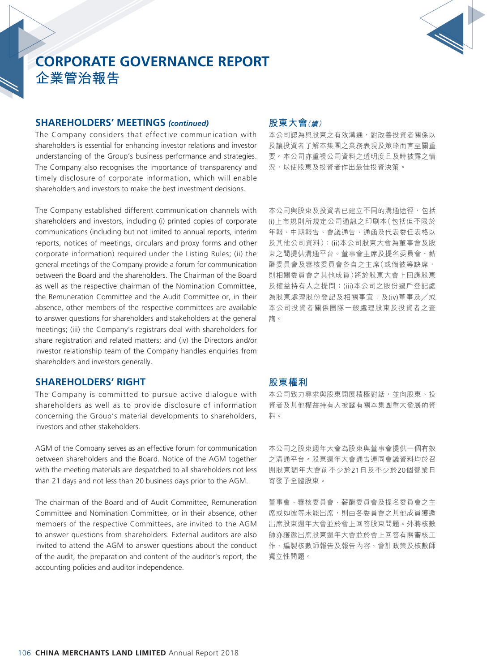

#### **SHAREHOLDERS' MEETINGS** *(continued)*

The Company considers that effective communication with shareholders is essential for enhancing investor relations and investor understanding of the Group's business performance and strategies. The Company also recognises the importance of transparency and timely disclosure of corporate information, which will enable shareholders and investors to make the best investment decisions.

The Company established different communication channels with shareholders and investors, including (i) printed copies of corporate communications (including but not limited to annual reports, interim reports, notices of meetings, circulars and proxy forms and other corporate information) required under the Listing Rules; (ii) the general meetings of the Company provide a forum for communication between the Board and the shareholders. The Chairman of the Board as well as the respective chairman of the Nomination Committee, the Remuneration Committee and the Audit Committee or, in their absence, other members of the respective committees are available to answer questions for shareholders and stakeholders at the general meetings; (iii) the Company's registrars deal with shareholders for share registration and related matters; and (iv) the Directors and/or investor relationship team of the Company handles enquiries from shareholders and investors generally.

## **SHAREHOLDERS' RIGHT**

The Company is committed to pursue active dialogue with shareholders as well as to provide disclosure of information concerning the Group's material developments to shareholders, investors and other stakeholders.

AGM of the Company serves as an effective forum for communication between shareholders and the Board. Notice of the AGM together with the meeting materials are despatched to all shareholders not less than 21 days and not less than 20 business days prior to the AGM.

The chairman of the Board and of Audit Committee, Remuneration Committee and Nomination Committee, or in their absence, other members of the respective Committees, are invited to the AGM to answer questions from shareholders. External auditors are also invited to attend the AGM to answer questions about the conduct of the audit, the preparation and content of the auditor's report, the accounting policies and auditor independence.

## **股東大會(續)**

本公司認為與股東之有效溝通,對改善投資者關係以 及讓投資者了解本集團之業務表現及策略而言至關重 要。本公司亦重視公司資料之透明度且及時披露之情 況,以使股東及投資者作出最佳投資決策。

本公司與股東及投資者已建立不同的溝通途徑,包括 (i)上市規則所規定公司通訊之印刷本(包括但不限於 年報、中期報告、會議通告、通函及代表委任表格以 及其他公司資料);(ii)本公司股東大會為董事會及股 東之間提供溝通平台。董事會主席及提名委員會、薪 酬委員會及審核委員會各自之主席(或倘彼等缺席, 則相關委員會之其他成員)將於股東大會上回應股東 及權益持有人之提問;(iii)本公司之股份過戶登記處 為股東處理股份登記及相關事宜;及(iv)董事及/或 本公司投資者關係團隊一般處理股東及投資者之查 詢。

### **股東權利**

本公司致力尋求與股東開展積極對話,並向股東、投 資者及其他權益持有人披露有關本集團重大發展的資 料。

本公司之股東週年大會為股東與董事會提供一個有效 之溝通平台。股東週年大會通告連同會議資料均於召 開股東週年大會前不少於21日及不少於20個營業日 寄發予全體股東。

董事會、審核委員會、薪酬委員會及提名委員會之主 席或如彼等未能出席,則由各委員會之其他成員獲邀 出席股東週年大會並於會上回答股東問題。外聘核數 師亦獲邀出席股東週年大會並於會上回答有關審核工 作、編製核數師報告及報告內容、會計政策及核數師 獨立性問題。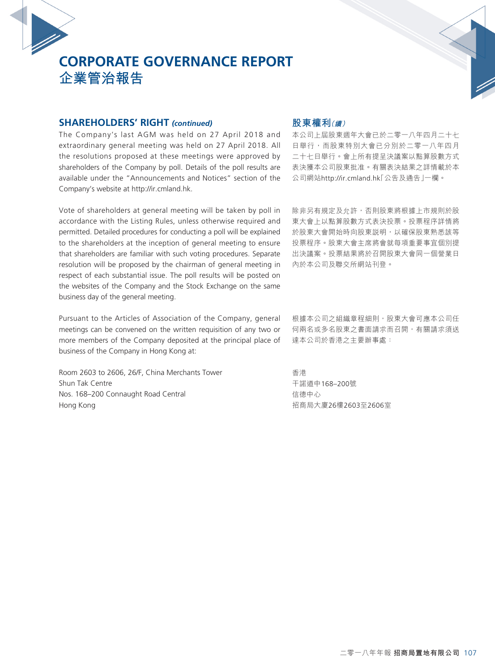#### **SHAREHOLDERS' RIGHT** *(continued)*

The Company's last AGM was held on 27 April 2018 and extraordinary general meeting was held on 27 April 2018. All the resolutions proposed at these meetings were approved by shareholders of the Company by poll. Details of the poll results are available under the "Announcements and Notices" section of the Company's website at http://ir.cmland.hk.

Vote of shareholders at general meeting will be taken by poll in accordance with the Listing Rules, unless otherwise required and permitted. Detailed procedures for conducting a poll will be explained to the shareholders at the inception of general meeting to ensure that shareholders are familiar with such voting procedures. Separate resolution will be proposed by the chairman of general meeting in respect of each substantial issue. The poll results will be posted on the websites of the Company and the Stock Exchange on the same business day of the general meeting.

Pursuant to the Articles of Association of the Company, general meetings can be convened on the written requisition of any two or more members of the Company deposited at the principal place of business of the Company in Hong Kong at:

Room 2603 to 2606, 26/F, China Merchants Tower Shun Tak Centre Nos. 168–200 Connaught Road Central Hong Kong

## **股東權利(續)**

本公司上屆股東週年大會已於二零一八年四月二十七 日舉行,而股東特別大會已分別於二零一八年四月 二十七日舉行。會上所有提呈決議案以點算股數方式 表決獲本公司股東批准。有關表決結果之詳情載於本 公司網站http://ir.cmland.hk「公告及通告」一欄。

除非另有規定及允許,否則股東將根據上市規則於股 東大會上以點算股數方式表決投票。投票程序詳情將 於股東大會開始時向股東說明,以確保股東熟悉該等 投票程序。股東大會主席將會就每項重要事宜個別提 出決議案。投票結果將於召開股東大會同一個營業日 內於本公司及聯交所網站刊登。

根據本公司之組織章程細則,股東大會可應本公司任 何兩名或多名股東之書面請求而召開,有關請求須送 達本公司於香港之主要辦事處:

香港 干諾道中168–200號 信德中心 招商局大廈26樓2603至2606室